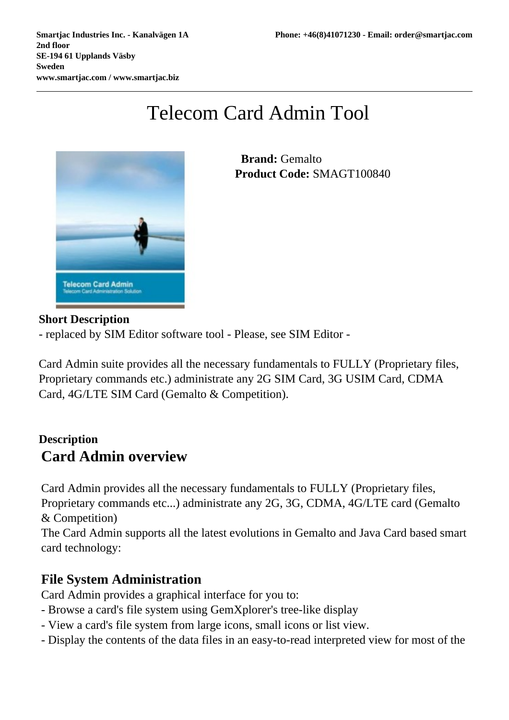# Telecom Card Admin Tool



 **Brand:** Gemalto **Product Code:** SMAGT100840

#### **Short Description**

- replaced by SIM Editor software tool - Please, see SIM Editor -

Card Admin suite provides all the necessary fundamentals to FULLY (Proprietary files, Proprietary commands etc.) administrate any 2G SIM Card, 3G USIM Card, CDMA Card, 4G/LTE SIM Card (Gemalto & Competition).

### **Description Card Admin overview**

Card Admin provides all the necessary fundamentals to FULLY (Proprietary files, Proprietary commands etc...) administrate any 2G, 3G, CDMA, 4G/LTE card (Gemalto & Competition)

The Card Admin supports all the latest evolutions in Gemalto and Java Card based smart card technology:

#### **File System Administration**

Card Admin provides a graphical interface for you to:

- Browse a card's file system using GemXplorer's tree-like display
- View a card's file system from large icons, small icons or list view.
- Display the contents of the data files in an easy-to-read interpreted view for most of the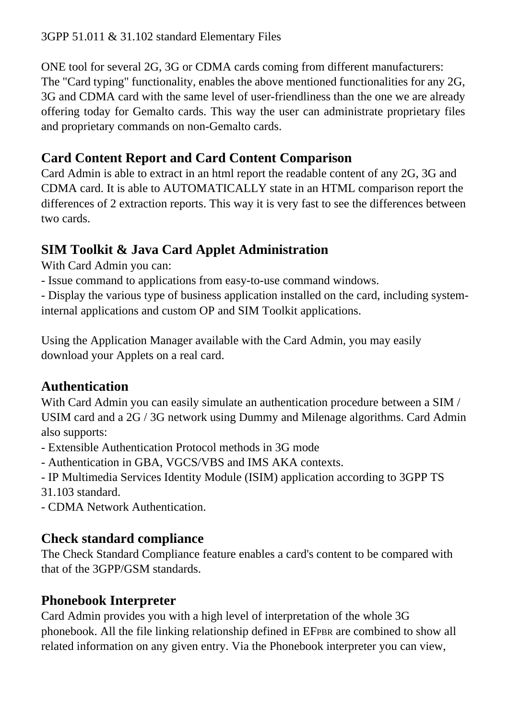#### 3GPP 51.011 & 31.102 standard Elementary Files

ONE tool for several 2G, 3G or CDMA cards coming from different manufacturers: The "Card typing" functionality, enables the above mentioned functionalities for any 2G, 3G and CDMA card with the same level of user-friendliness than the one we are already offering today for Gemalto cards. This way the user can administrate proprietary files and proprietary commands on non-Gemalto cards.

## **Card Content Report and Card Content Comparison**

Card Admin is able to extract in an html report the readable content of any 2G, 3G and CDMA card. It is able to AUTOMATICALLY state in an HTML comparison report the differences of 2 extraction reports. This way it is very fast to see the differences between two cards.

## **SIM Toolkit & Java Card Applet Administration**

With Card Admin you can:

- Issue command to applications from easy-to-use command windows.

- Display the various type of business application installed on the card, including systeminternal applications and custom OP and SIM Toolkit applications.

Using the Application Manager available with the Card Admin, you may easily download your Applets on a real card.

### **Authentication**

With Card Admin you can easily simulate an authentication procedure between a SIM / USIM card and a 2G / 3G network using Dummy and Milenage algorithms. Card Admin also supports:

- Extensible Authentication Protocol methods in 3G mode
- Authentication in GBA, VGCS/VBS and IMS AKA contexts.
- IP Multimedia Services Identity Module (ISIM) application according to 3GPP TS

31.103 standard.

- CDMA Network Authentication.

### **Check standard compliance**

The Check Standard Compliance feature enables a card's content to be compared with that of the 3GPP/GSM standards.

### **Phonebook Interpreter**

Card Admin provides you with a high level of interpretation of the whole 3G phonebook. All the file linking relationship defined in EFPBR are combined to show all related information on any given entry. Via the Phonebook interpreter you can view,